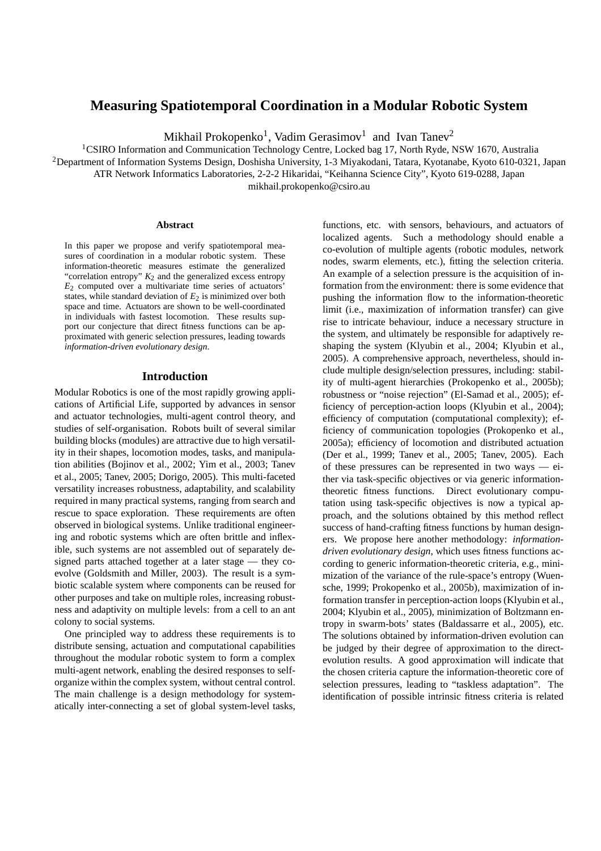# **Measuring Spatiotemporal Coordination in a Modular Robotic System**

Mikhail Prokopenko<sup>1</sup>, Vadim Gerasimov<sup>1</sup> and Ivan Tanev<sup>2</sup>

<sup>1</sup>CSIRO Information and Communication Technology Centre, Locked bag 17, North Ryde, NSW 1670, Australia

<sup>2</sup>Department of Information Systems Design, Doshisha University, 1-3 Miyakodani, Tatara, Kyotanabe, Kyoto 610-0321, Japan

ATR Network Informatics Laboratories, 2-2-2 Hikaridai, "Keihanna Science City", Kyoto 619-0288, Japan

mikhail.prokopenko@csiro.au

#### **Abstract**

In this paper we propose and verify spatiotemporal measures of coordination in a modular robotic system. These information-theoretic measures estimate the generalized "correlation entropy"  $K_2$  and the generalized excess entropy"  $E<sub>2</sub>$  computed over a multivariate time series of actuators' states, while standard deviation of  $E_2$  is minimized over both space and time. Actuators are shown to be well-coordinated in individuals with fastest locomotion. These results support our conjecture that direct fitness functions can be approximated with generic selection pressures, leading towards *information-driven evolutionary design*.

#### **Introduction**

Modular Robotics is one of the most rapidly growing applications of Artificial Life, supported by advances in sensor and actuator technologies, multi-agent control theory, and studies of self-organisation. Robots built of several similar building blocks (modules) are attractive due to high versatility in their shapes, locomotion modes, tasks, and manipulation abilities (Bojinov et al., 2002; Yim et al., 2003; Tanev et al., 2005; Tanev, 2005; Dorigo, 2005). This multi-faceted versatility increases robustness, adaptability, and scalability required in many practical systems, ranging from search and rescue to space exploration. These requirements are often observed in biological systems. Unlike traditional engineering and robotic systems which are often brittle and inflexible, such systems are not assembled out of separately designed parts attached together at a later stage — they coevolve (Goldsmith and Miller, 2003). The result is a symbiotic scalable system where components can be reused for other purposes and take on multiple roles, increasing robustness and adaptivity on multiple levels: from a cell to an ant colony to social systems.

One principled way to address these requirements is to distribute sensing, actuation and computational capabilities throughout the modular robotic system to form a complex multi-agent network, enabling the desired responses to selforganize within the complex system, without central control. The main challenge is a design methodology for systematically inter-connecting a set of global system-level tasks, functions, etc. with sensors, behaviours, and actuators of localized agents. Such a methodology should enable a co-evolution of multiple agents (robotic modules, network nodes, swarm elements, etc.), fitting the selection criteria. An example of a selection pressure is the acquisition of information from the environment: there is some evidence that pushing the information flow to the information-theoretic limit (i.e., maximization of information transfer) can give rise to intricate behaviour, induce a necessary structure in the system, and ultimately be responsible for adaptively reshaping the system (Klyubin et al., 2004; Klyubin et al., 2005). A comprehensive approach, nevertheless, should include multiple design/selection pressures, including: stability of multi-agent hierarchies (Prokopenko et al., 2005b); robustness or "noise rejection" (El-Samad et al., 2005); efficiency of perception-action loops (Klyubin et al., 2004); efficiency of computation (computational complexity); efficiency of communication topologies (Prokopenko et al., 2005a); efficiency of locomotion and distributed actuation (Der et al., 1999; Tanev et al., 2005; Tanev, 2005). Each of these pressures can be represented in two ways — either via task-specific objectives or via generic informationtheoretic fitness functions. Direct evolutionary computation using task-specific objectives is now a typical approach, and the solutions obtained by this method reflect success of hand-crafting fitness functions by human designers. We propose here another methodology: *informationdriven evolutionary design*, which uses fitness functions according to generic information-theoretic criteria, e.g., minimization of the variance of the rule-space's entropy (Wuensche, 1999; Prokopenko et al., 2005b), maximization of information transfer in perception-action loops (Klyubin et al., 2004; Klyubin et al., 2005), minimization of Boltzmann entropy in swarm-bots' states (Baldassarre et al., 2005), etc. The solutions obtained by information-driven evolution can be judged by their degree of approximation to the directevolution results. A good approximation will indicate that the chosen criteria capture the information-theoretic core of selection pressures, leading to "taskless adaptation". The identification of possible intrinsic fitness criteria is related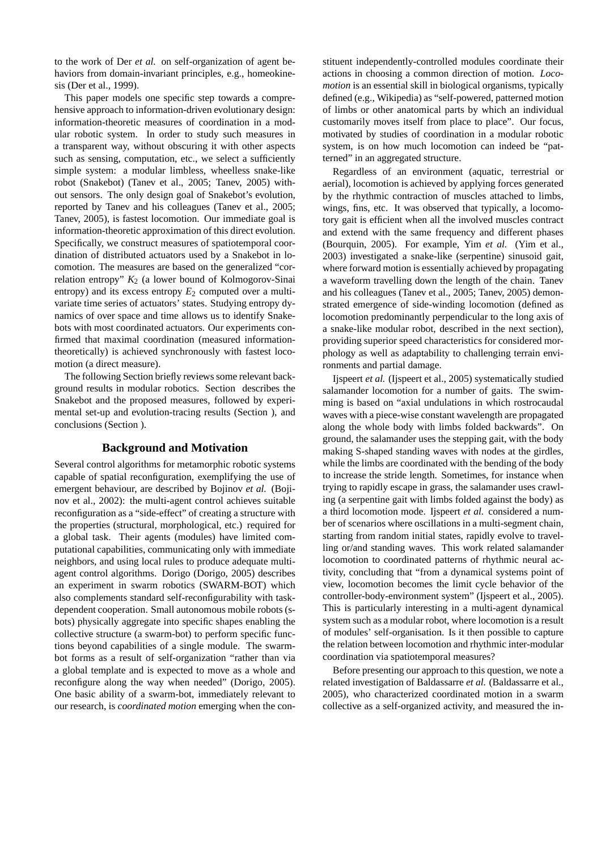to the work of Der *et al.* on self-organization of agent behaviors from domain-invariant principles, e.g., homeokinesis (Der et al., 1999).

This paper models one specific step towards a comprehensive approach to information-driven evolutionary design: information-theoretic measures of coordination in a modular robotic system. In order to study such measures in a transparent way, without obscuring it with other aspects such as sensing, computation, etc., we select a sufficiently simple system: a modular limbless, wheelless snake-like robot (Snakebot) (Tanev et al., 2005; Tanev, 2005) without sensors. The only design goal of Snakebot's evolution, reported by Tanev and his colleagues (Tanev et al., 2005; Tanev, 2005), is fastest locomotion. Our immediate goal is information-theoretic approximation of this direct evolution. Specifically, we construct measures of spatiotemporal coordination of distributed actuators used by a Snakebot in locomotion. The measures are based on the generalized "correlation entropy" *K*<sup>2</sup> (a lower bound of Kolmogorov-Sinai entropy) and its excess entropy  $E_2$  computed over a multivariate time series of actuators' states. Studying entropy dynamics of over space and time allows us to identify Snakebots with most coordinated actuators. Our experiments confirmed that maximal coordination (measured informationtheoretically) is achieved synchronously with fastest locomotion (a direct measure).

The following Section briefly reviews some relevant background results in modular robotics. Section describes the Snakebot and the proposed measures, followed by experimental set-up and evolution-tracing results (Section ), and conclusions (Section ).

## **Background and Motivation**

Several control algorithms for metamorphic robotic systems capable of spatial reconfiguration, exemplifying the use of emergent behaviour, are described by Bojinov *et al.* (Bojinov et al., 2002): the multi-agent control achieves suitable reconfiguration as a "side-effect" of creating a structure with the properties (structural, morphological, etc.) required for a global task. Their agents (modules) have limited computational capabilities, communicating only with immediate neighbors, and using local rules to produce adequate multiagent control algorithms. Dorigo (Dorigo, 2005) describes an experiment in swarm robotics (SWARM-BOT) which also complements standard self-reconfigurability with taskdependent cooperation. Small autonomous mobile robots (sbots) physically aggregate into specific shapes enabling the collective structure (a swarm-bot) to perform specific functions beyond capabilities of a single module. The swarmbot forms as a result of self-organization "rather than via a global template and is expected to move as a whole and reconfigure along the way when needed" (Dorigo, 2005). One basic ability of a swarm-bot, immediately relevant to our research, is *coordinated motion* emerging when the constituent independently-controlled modules coordinate their actions in choosing a common direction of motion. *Locomotion* is an essential skill in biological organisms, typically defined (e.g., Wikipedia) as "self-powered, patterned motion of limbs or other anatomical parts by which an individual customarily moves itself from place to place". Our focus, motivated by studies of coordination in a modular robotic system, is on how much locomotion can indeed be "patterned" in an aggregated structure.

Regardless of an environment (aquatic, terrestrial or aerial), locomotion is achieved by applying forces generated by the rhythmic contraction of muscles attached to limbs, wings, fins, etc. It was observed that typically, a locomotory gait is efficient when all the involved muscles contract and extend with the same frequency and different phases (Bourquin, 2005). For example, Yim *et al.* (Yim et al., 2003) investigated a snake-like (serpentine) sinusoid gait, where forward motion is essentially achieved by propagating a waveform travelling down the length of the chain. Tanev and his colleagues (Tanev et al., 2005; Tanev, 2005) demonstrated emergence of side-winding locomotion (defined as locomotion predominantly perpendicular to the long axis of a snake-like modular robot, described in the next section), providing superior speed characteristics for considered morphology as well as adaptability to challenging terrain environments and partial damage.

Ijspeert *et al.* (Ijspeert et al., 2005) systematically studied salamander locomotion for a number of gaits. The swimming is based on "axial undulations in which rostrocaudal waves with a piece-wise constant wavelength are propagated along the whole body with limbs folded backwards". On ground, the salamander uses the stepping gait, with the body making S-shaped standing waves with nodes at the girdles, while the limbs are coordinated with the bending of the body to increase the stride length. Sometimes, for instance when trying to rapidly escape in grass, the salamander uses crawling (a serpentine gait with limbs folded against the body) as a third locomotion mode. Ijspeert *et al.* considered a number of scenarios where oscillations in a multi-segment chain, starting from random initial states, rapidly evolve to travelling or/and standing waves. This work related salamander locomotion to coordinated patterns of rhythmic neural activity, concluding that "from a dynamical systems point of view, locomotion becomes the limit cycle behavior of the controller-body-environment system" (Ijspeert et al., 2005). This is particularly interesting in a multi-agent dynamical system such as a modular robot, where locomotion is a result of modules' self-organisation. Is it then possible to capture the relation between locomotion and rhythmic inter-modular coordination via spatiotemporal measures?

Before presenting our approach to this question, we note a related investigation of Baldassarre *et al.* (Baldassarre et al., 2005), who characterized coordinated motion in a swarm collective as a self-organized activity, and measured the in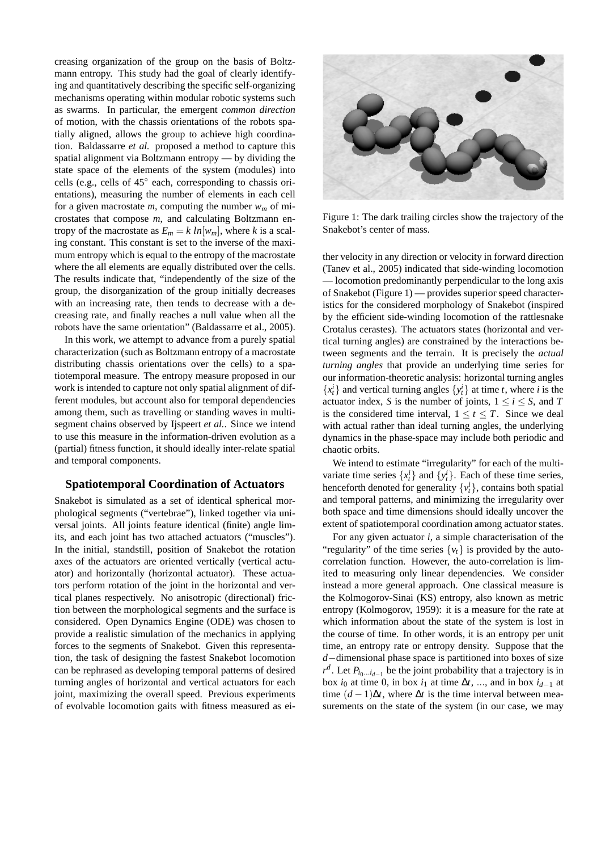creasing organization of the group on the basis of Boltzmann entropy. This study had the goal of clearly identifying and quantitatively describing the specific self-organizing mechanisms operating within modular robotic systems such as swarms. In particular, the emergent *common direction* of motion, with the chassis orientations of the robots spatially aligned, allows the group to achieve high coordination. Baldassarre *et al.* proposed a method to capture this spatial alignment via Boltzmann entropy — by dividing the state space of the elements of the system (modules) into cells (e.g., cells of 45° each, corresponding to chassis orientations), measuring the number of elements in each cell for a given macrostate *m*, computing the number  $w_m$  of microstates that compose *m*, and calculating Boltzmann entropy of the macrostate as  $E_m = k \ln[w_m]$ , where *k* is a scaling constant. This constant is set to the inverse of the maximum entropy which is equal to the entropy of the macrostate where the all elements are equally distributed over the cells. The results indicate that, "independently of the size of the group, the disorganization of the group initially decreases with an increasing rate, then tends to decrease with a decreasing rate, and finally reaches a null value when all the robots have the same orientation" (Baldassarre et al., 2005).

In this work, we attempt to advance from a purely spatial characterization (such as Boltzmann entropy of a macrostate distributing chassis orientations over the cells) to a spatiotemporal measure. The entropy measure proposed in our work is intended to capture not only spatial alignment of different modules, but account also for temporal dependencies among them, such as travelling or standing waves in multisegment chains observed by Ijspeert *et al.*. Since we intend to use this measure in the information-driven evolution as a (partial) fitness function, it should ideally inter-relate spatial and temporal components.

### **Spatiotemporal Coordination of Actuators**

Snakebot is simulated as a set of identical spherical morphological segments ("vertebrae"), linked together via universal joints. All joints feature identical (finite) angle limits, and each joint has two attached actuators ("muscles"). In the initial, standstill, position of Snakebot the rotation axes of the actuators are oriented vertically (vertical actuator) and horizontally (horizontal actuator). These actuators perform rotation of the joint in the horizontal and vertical planes respectively. No anisotropic (directional) friction between the morphological segments and the surface is considered. Open Dynamics Engine (ODE) was chosen to provide a realistic simulation of the mechanics in applying forces to the segments of Snakebot. Given this representation, the task of designing the fastest Snakebot locomotion can be rephrased as developing temporal patterns of desired turning angles of horizontal and vertical actuators for each joint, maximizing the overall speed. Previous experiments of evolvable locomotion gaits with fitness measured as ei-



Figure 1: The dark trailing circles show the trajectory of the Snakebot's center of mass.

ther velocity in any direction or velocity in forward direction (Tanev et al., 2005) indicated that side-winding locomotion — locomotion predominantly perpendicular to the long axis of Snakebot (Figure 1) — provides superior speed characteristics for the considered morphology of Snakebot (inspired by the efficient side-winding locomotion of the rattlesnake Crotalus cerastes). The actuators states (horizontal and vertical turning angles) are constrained by the interactions between segments and the terrain. It is precisely the *actual turning angles* that provide an underlying time series for our information-theoretic analysis: horizontal turning angles  ${x<sup>i</sup><sub>t</sub>}$  and vertical turning angles  ${y<sup>i</sup><sub>t</sub>}$  at time *t*, where *i* is the actuator index, *S* is the number of joints,  $1 \le i \le S$ , and *T* is the considered time interval,  $1 \le t \le T$ . Since we deal with actual rather than ideal turning angles, the underlying dynamics in the phase-space may include both periodic and chaotic orbits.

We intend to estimate "irregularity" for each of the multivariate time series  $\{x_t^i\}$  and  $\{y_t^i\}$ . Each of these time series, henceforth denoted for generality  $\{v_t^i\}$ , contains both spatial and temporal patterns, and minimizing the irregularity over both space and time dimensions should ideally uncover the extent of spatiotemporal coordination among actuator states.

For any given actuator *i*, a simple characterisation of the "regularity" of the time series  $\{v_t\}$  is provided by the autocorrelation function. However, the auto-correlation is limited to measuring only linear dependencies. We consider instead a more general approach. One classical measure is the Kolmogorov-Sinai (KS) entropy, also known as metric entropy (Kolmogorov, 1959): it is a measure for the rate at which information about the state of the system is lost in the course of time. In other words, it is an entropy per unit time, an entropy rate or entropy density. Suppose that the *d*−dimensional phase space is partitioned into boxes of size  $r^d$ . Let  $P_{i_0...i_{d-1}}$  be the joint probability that a trajectory is in box *i*<sub>0</sub> at time 0, in box *i*<sub>1</sub> at time  $\Delta t$ , ..., and in box *i*<sub>*d*−1</sub> at time  $(d-1)\Delta t$ , where  $\Delta t$  is the time interval between measurements on the state of the system (in our case, we may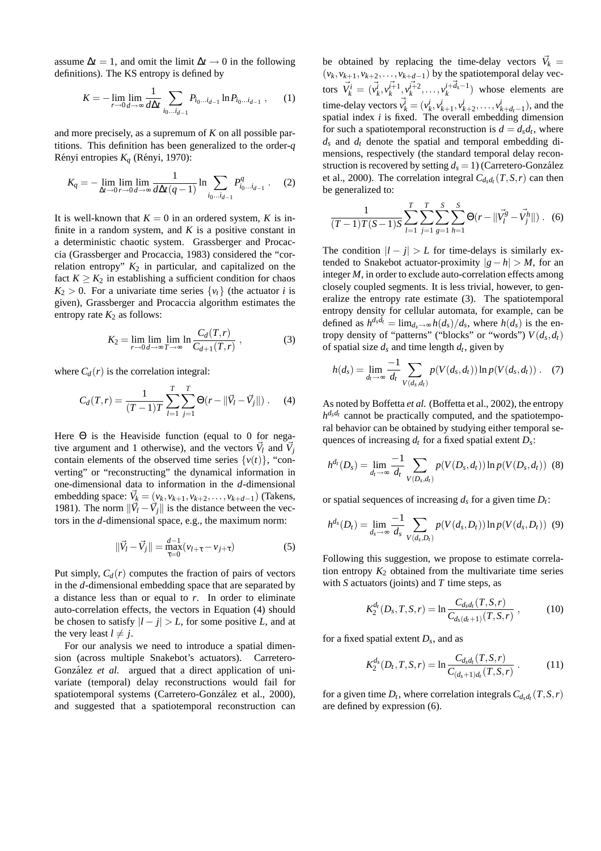assume  $\Delta t = 1$ , and omit the limit  $\Delta t \rightarrow 0$  in the following definitions). The KS entropy is defined by

$$
K = -\lim_{r \to 0} \lim_{d \to \infty} \frac{1}{d\Delta t} \sum_{i_0 \dots i_{d-1}} P_{i_0 \dots i_{d-1}} \ln P_{i_0 \dots i_{d-1}} , \qquad (1)
$$

and more precisely, as a supremum of *K* on all possible partitions. This definition has been generalized to the order-*q* Rényi entropies  $K_q$  (Rényi, 1970):

$$
K_q = -\lim_{\Delta t \to 0} \lim_{r \to 0} \lim_{d \to \infty} \frac{1}{d\Delta t (q-1)} \ln \sum_{i_0 \dots i_{d-1}} P^q_{i_0 \dots i_{d-1}} . \tag{2}
$$

It is well-known that  $K = 0$  in an ordered system, K is infinite in a random system, and  $K$  is a positive constant in a deterministic chaotic system. Grassberger and Procaccia (Grassberger and Procaccia, 1983) considered the "correlation entropy"  $K_2$  in particular, and capitalized on the fact  $K \geq K_2$  in establishing a sufficient condition for chaos  $K_2 > 0$ . For a univariate time series  $\{v_t\}$  (the actuator *i* is given), Grassberger and Procaccia algorithm estimates the entropy rate  $K_2$  as follows:

$$
K_2 = \lim_{r \to 0} \lim_{d \to \infty} \lim_{T \to \infty} \ln \frac{C_d(T, r)}{C_{d+1}(T, r)},
$$
\n(3)

where  $C_d(r)$  is the correlation integral:

$$
C_d(T,r) = \frac{1}{(T-1)T} \sum_{l=1}^{T} \sum_{j=1}^{T} \Theta(r - ||\vec{V}_l - \vec{V}_j||).
$$
 (4)

Here  $\Theta$  is the Heaviside function (equal to 0 for negative argument and 1 otherwise), and the vectors  $\vec{V}_l$  and  $\vec{V}_j$ contain elements of the observed time series  $\{v(t)\}\$ , "converting" or "reconstructing" the dynamical information in one-dimensional data to information in the *d*-dimensional embedding space:  $\vec{V}_k = (v_k, v_{k+1}, v_{k+2}, \ldots, v_{k+d-1})$  (Takens, 1981). The norm  $\|\vec{V}_l - \vec{V}_l\|$  is the distance between the vectors in the *d*-dimensional space, e.g., the maximum norm:

$$
\|\vec{V}_l - \vec{V}_j\| = \max_{\tau=0}^{d-1} (v_{l+\tau} - v_{j+\tau})
$$
 (5)

Put simply,  $C_d(r)$  computes the fraction of pairs of vectors in the *d*-dimensional embedding space that are separated by a distance less than or equal to *r*. In order to eliminate auto-correlation effects, the vectors in Equation (4) should be chosen to satisfy  $|l - j| > L$ , for some positive *L*, and at the very least  $l \neq j$ .

For our analysis we need to introduce a spatial dimension (across multiple Snakebot's actuators). Carretero-González et al. argued that a direct application of univariate (temporal) delay reconstructions would fail for spatiotemporal systems (Carretero-González et al., 2000), and suggested that a spatiotemporal reconstruction can be obtained by replacing the time-delay vectors  $\vec{V}_k$  =  $(v_k, v_{k+1}, v_{k+2}, \ldots, v_{k+d-1})$  by the spatiotemporal delay vectors  $\vec{V}_k^i = (\vec{v}_k^i, \vec{v}_k^{i+1}, \vec{v}_k^{i+2}, \dots, \vec{v}_k^{i+\vec{d}_s-1})$  whose elements are time-delay vectors  $\vec{v_k^i} = (v_k^i, v_{k+1}^i, v_{k+2}^i, ..., v_{k+d_t-1}^i)$ , and the spatial index *i* is fixed. The overall embedding dimension for such a spatiotemporal reconstruction is  $d = d_s d_t$ , where  $d<sub>s</sub>$  and  $d<sub>t</sub>$  denote the spatial and temporal embedding dimensions, respectively (the standard temporal delay reconstruction is recovered by setting  $d<sub>s</sub> = 1$ ) (Carretero-González et al., 2000). The correlation integral  $C_{d_s d_t}(T, S, r)$  can then be generalized to:

$$
\frac{1}{(T-1)T(S-1)S} \sum_{l=1}^{T} \sum_{j=1}^{T} \sum_{g=1}^{S} \sum_{h=1}^{S} \Theta(r - ||\vec{V}_{l}^{g} - \vec{V}_{j}^{h}||) .
$$
 (6)

The condition  $|l - j| > L$  for time-delays is similarly extended to Snakebot actuator-proximity  $|g - h| > M$ , for an integer *M*, in order to exclude auto-correlation effects among closely coupled segments. It is less trivial, however, to generalize the entropy rate estimate (3). The spatiotemporal entropy density for cellular automata, for example, can be defined as  $h^{d_s d_t} = \lim_{d_s \to \infty} h(d_s)/d_s$ , where  $h(d_s)$  is the entropy density of "patterns" ("blocks" or "words")  $V(d_s, d_t)$ of spatial size  $d_s$  and time length  $d_t$ , given by

$$
h(d_s) = \lim_{d_t \to \infty} \frac{-1}{d_t} \sum_{V(d_s, d_t)} p(V(d_s, d_t)) \ln p(V(d_s, d_t)) \quad (7)
$$

As noted by Boffetta *et al.* (Boffetta et al., 2002), the entropy  $h^{d_s d_t}$  cannot be practically computed, and the spatiotemporal behavior can be obtained by studying either temporal sequences of increasing *d<sup>t</sup>* for a fixed spatial extent *D<sup>s</sup>* :

$$
h^{d_t}(D_s) = \lim_{d_t \to \infty} \frac{-1}{d_t} \sum_{V(D_s, d_t)} p(V(D_s, d_t)) \ln p(V(D_s, d_t)) \tag{8}
$$

or spatial sequences of increasing *d<sup>s</sup>* for a given time *D<sup>t</sup>* :

$$
h^{d_s}(D_t) = \lim_{d_s \to \infty} \frac{-1}{d_s} \sum_{V(d_s, D_t)} p(V(d_s, D_t)) \ln p(V(d_s, D_t)) \tag{9}
$$

Following this suggestion, we propose to estimate correlation entropy  $K_2$  obtained from the multivariate time series with *S* actuators (joints) and *T* time steps, as

$$
K_2^{d_t}(D_s, T, S, r) = \ln \frac{C_{d_s d_t}(T, S, r)}{C_{d_s(d_t+1)}(T, S, r)},
$$
(10)

for a fixed spatial extent *D<sup>s</sup>* , and as

$$
K_2^{d_s}(D_t, T, S, r) = \ln \frac{C_{d_s d_t}(T, S, r)}{C_{(d_s+1)d_t}(T, S, r)}.
$$
 (11)

for a given time  $D_t$ , where correlation integrals  $C_{d_s d_t}(T, S, r)$ are defined by expression (6).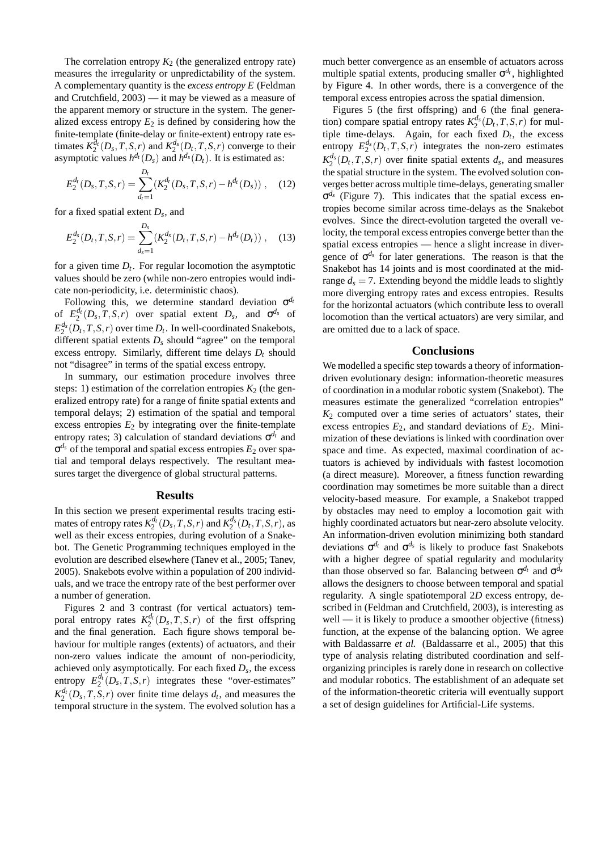The correlation entropy  $K_2$  (the generalized entropy rate) measures the irregularity or unpredictability of the system. A complementary quantity is the *excess entropy E* (Feldman and Crutchfield, 2003) — it may be viewed as a measure of the apparent memory or structure in the system. The generalized excess entropy  $E_2$  is defined by considering how the finite-template (finite-delay or finite-extent) entropy rate estimates  $K_2^{\bar{d}_t}(D_s, T, S, r)$  and  $K_2^{d_s}(D_t, T, S, r)$  converge to their asymptotic values  $h^{d_t}(D_s)$  and  $h^{d_s}(D_t)$ . It is estimated as:

$$
E_2^{d_t}(D_s, T, S, r) = \sum_{d_t=1}^{D_t} (K_2^{d_t}(D_s, T, S, r) - h^{d_t}(D_s)), \quad (12)
$$

for a fixed spatial extent *D<sup>s</sup>* , and

$$
E_2^{d_s}(D_t, T, S, r) = \sum_{d_s=1}^{D_s} (K_2^{d_s}(D_t, T, S, r) - h^{d_s}(D_t)), \quad (13)
$$

for a given time  $D_t$ . For regular locomotion the asymptotic values should be zero (while non-zero entropies would indicate non-periodicity, i.e. deterministic chaos).

Following this, we determine standard deviation σ *dt* of  $E_2^{d_t}(D_s, T, S, r)$  over spatial extent  $D_s$ , and  $\sigma^{d_s}$  of  $E_2^{d_s}(D_t, T, S, r)$  over time  $D_t$ . In well-coordinated Snakebots, different spatial extents  $D<sub>s</sub>$  should "agree" on the temporal excess entropy. Similarly, different time delays  $D_t$  should not "disagree" in terms of the spatial excess entropy.

In summary, our estimation procedure involves three steps: 1) estimation of the correlation entropies  $K_2$  (the generalized entropy rate) for a range of finite spatial extents and temporal delays; 2) estimation of the spatial and temporal excess entropies  $E_2$  by integrating over the finite-template entropy rates; 3) calculation of standard deviations σ *<sup>d</sup><sup>t</sup>* and  $\sigma^{d_s}$  of the temporal and spatial excess entropies  $E_2$  over spatial and temporal delays respectively. The resultant measures target the divergence of global structural patterns.

#### **Results**

In this section we present experimental results tracing estimates of entropy rates  $K_2^{d_t}(D_s, T, S, r)$  and  $K_2^{d_s}(D_t, T, S, r)$ , as well as their excess entropies, during evolution of a Snakebot. The Genetic Programming techniques employed in the evolution are described elsewhere (Tanev et al., 2005; Tanev, 2005). Snakebots evolve within a population of 200 individuals, and we trace the entropy rate of the best performer over a number of generation.

Figures 2 and 3 contrast (for vertical actuators) temporal entropy rates  $K_2^{d_t}(D_s, T, S, r)$  of the first offspring and the final generation. Each figure shows temporal behaviour for multiple ranges (extents) of actuators, and their non-zero values indicate the amount of non-periodicity, achieved only asymptotically. For each fixed *D<sup>s</sup>* , the excess entropy  $E_2^{d_t}(D_s, T, S, r)$  integrates these "over-estimates"  $K_2^{d_t}(D_s, T, S, r)$  over finite time delays  $d_t$ , and measures the temporal structure in the system. The evolved solution has a much better convergence as an ensemble of actuators across multiple spatial extents, producing smaller σ *dt* , highlighted by Figure 4. In other words, there is a convergence of the temporal excess entropies across the spatial dimension.

Figures 5 (the first offspring) and 6 (the final generation) compare spatial entropy rates  $K_2^{d_s}(D_t, T, S, r)$  for multiple time-delays. Again, for each fixed  $D_t$ , the excess entropy  $E_2^{d_s}(D_t, T, S, r)$  integrates the non-zero estimates  $K_2^{d_s}(D_t, T, S, r)$  over finite spatial extents  $d_s$ , and measures the spatial structure in the system. The evolved solution converges better across multiple time-delays, generating smaller  $\sigma$ <sup>*d<sub>s</sub>*</sup> (Figure 7). This indicates that the spatial excess entropies become similar across time-delays as the Snakebot evolves. Since the direct-evolution targeted the overall velocity, the temporal excess entropies converge better than the spatial excess entropies — hence a slight increase in divergence of  $\sigma$ <sup>d<sub>*s*</sub></sup> for later generations. The reason is that the Snakebot has 14 joints and is most coordinated at the midrange  $d_s = 7$ . Extending beyond the middle leads to slightly more diverging entropy rates and excess entropies. Results for the horizontal actuators (which contribute less to overall locomotion than the vertical actuators) are very similar, and are omitted due to a lack of space.

#### **Conclusions**

We modelled a specific step towards a theory of informationdriven evolutionary design: information-theoretic measures of coordination in a modular robotic system (Snakebot). The measures estimate the generalized "correlation entropies"  $K_2$  computed over a time series of actuators' states, their excess entropies  $E_2$ , and standard deviations of  $E_2$ . Minimization of these deviations is linked with coordination over space and time. As expected, maximal coordination of actuators is achieved by individuals with fastest locomotion (a direct measure). Moreover, a fitness function rewarding coordination may sometimes be more suitable than a direct velocity-based measure. For example, a Snakebot trapped by obstacles may need to employ a locomotion gait with highly coordinated actuators but near-zero absolute velocity. An information-driven evolution minimizing both standard deviations  $\sigma^{d_t}$  and  $\sigma^{d_s}$  is likely to produce fast Snakebots with a higher degree of spatial regularity and modularity than those observed so far. Balancing between  $\sigma^{d_t}$  and  $\sigma^{d_s}$ allows the designers to choose between temporal and spatial regularity. A single spatiotemporal 2*D* excess entropy, described in (Feldman and Crutchfield, 2003), is interesting as well — it is likely to produce a smoother objective (fitness) function, at the expense of the balancing option. We agree with Baldassarre *et al.* (Baldassarre et al., 2005) that this type of analysis relating distributed coordination and selforganizing principles is rarely done in research on collective and modular robotics. The establishment of an adequate set of the information-theoretic criteria will eventually support a set of design guidelines for Artificial-Life systems.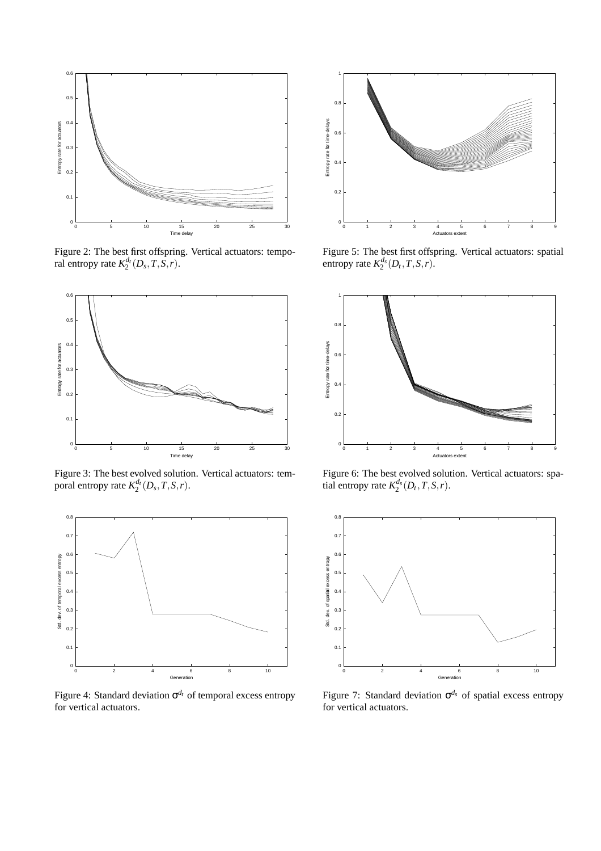

Figure 2: The best first offspring. Vertical actuators: temporal entropy rate  $K_2^{d_t}(D_s, T, \overline{S}, r)$ .



Figure 3: The best evolved solution. Vertical actuators: temporal entropy rate  $K_2^{d_t}(D_s, T, S, r)$ .



Figure 4: Standard deviation σ *<sup>d</sup><sup>t</sup>* of temporal excess entropy for vertical actuators.



Figure 5: The best first offspring. Vertical actuators: spatial entropy rate  $K_2^{d_s}(D_t, T, S, r)$ .



Figure 6: The best evolved solution. Vertical actuators: spatial entropy rate  $K_2^{d_s}(D_t, T, S, r)$ .



Figure 7: Standard deviation  $\sigma^{d_s}$  of spatial excess entropy for vertical actuators.